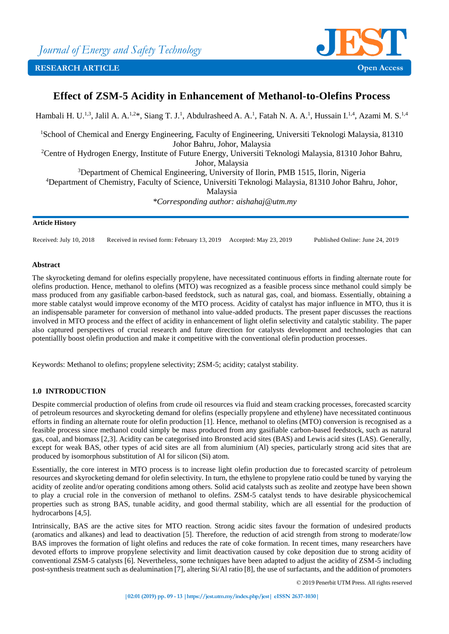

# **Effect of ZSM-5 Acidity in Enhancement of Methanol-to-Olefins Process**

Hambali H. U.<sup>1,3</sup>, Jalil A. A.<sup>1,2\*</sup>, Siang T. J.<sup>1</sup>, Abdulrasheed A. A.<sup>1</sup>, Fatah N. A. A.<sup>1</sup>, Hussain I.<sup>1,4</sup>, Azami M. S.<sup>1,4</sup> <sup>1</sup>School of Chemical and Energy Engineering, Faculty of Engineering, Universiti Teknologi Malaysia, 81310 Johor Bahru, Johor, Malaysia <sup>2</sup>Centre of Hydrogen Energy, Institute of Future Energy, Universiti Teknologi Malaysia, 81310 Johor Bahru, Johor, Malaysia <sup>3</sup>Department of Chemical Engineering, University of Ilorin, PMB 1515, Ilorin, Nigeria <sup>4</sup>Department of Chemistry, Faculty of Science, Universiti Teknologi Malaysia, 81310 Johor Bahru, Johor,

Malaysia

*\*Corresponding author: aishahaj@utm.my*

## **Article History**

Received: July 10, 2018 Received in revised form: February 13, 2019 Accepted: May 23, 2019 Published Online: June 24, 2019

## **Abstract**

The skyrocketing demand for olefins especially propylene, have necessitated continuous efforts in finding alternate route for olefins production. Hence, methanol to olefins (MTO) was recognized as a feasible process since methanol could simply be mass produced from any gasifiable carbon-based feedstock, such as natural gas, coal, and biomass. Essentially, obtaining a more stable catalyst would improve economy of the MTO process. Acidity of catalyst has major influence in MTO, thus it is an indispensable parameter for conversion of methanol into value-added products. The present paper discusses the reactions involved in MTO process and the effect of acidity in enhancement of light olefin selectivity and catalytic stability. The paper also captured perspectives of crucial research and future direction for catalysts development and technologies that can potentiallly boost olefin production and make it competitive with the conventional olefin production processes.

Keywords: Methanol to olefins; propylene selectivity; ZSM-5; acidity; catalyst stability.

## **1.0 INTRODUCTION**

Despite commercial production of olefins from crude oil resources via fluid and steam cracking processes, forecasted scarcity of petroleum resources and skyrocketing demand for olefins (especially propylene and ethylene) have necessitated continuous efforts in finding an alternate route for olefin production [1]. Hence, methanol to olefins (MTO) conversion is recognised as a feasible process since methanol could simply be mass produced from any gasifiable carbon-based feedstock, such as natural gas, coal, and biomass [2,3]. Acidity can be categorised into Bronsted acid sites (BAS) and Lewis acid sites (LAS). Generally, except for weak BAS, other types of acid sites are all from aluminium (Al) species, particularly strong acid sites that are produced by isomorphous substitution of Al for silicon (Si) atom.

Essentially, the core interest in MTO process is to increase light olefin production due to forecasted scarcity of petroleum resources and skyrocketing demand for olefin selectivity. In turn, the ethylene to propylene ratio could be tuned by varying the acidity of zeolite and/or operating conditions among others. Solid acid catalysts such as zeolite and zeotype have been shown to play a crucial role in the conversion of methanol to olefins. ZSM-5 catalyst tends to have desirable physicochemical properties such as strong BAS, tunable acidity, and good thermal stability, which are all essential for the production of hydrocarbons [4,5].

Intrinsically, BAS are the active sites for MTO reaction. Strong acidic sites favour the formation of undesired products (aromatics and alkanes) and lead to deactivation [5]. Therefore, the reduction of acid strength from strong to moderate/low BAS improves the formation of light olefins and reduces the rate of coke formation. In recent times, many researchers have devoted efforts to improve propylene selectivity and limit deactivation caused by coke deposition due to strong acidity of conventional ZSM-5 catalysts [6]. Nevertheless, some techniques have been adapted to adjust the acidity of ZSM-5 including post-synthesis treatment such as dealumination [7], altering Si/Al ratio [8], the use of surfactants, and the addition of promoters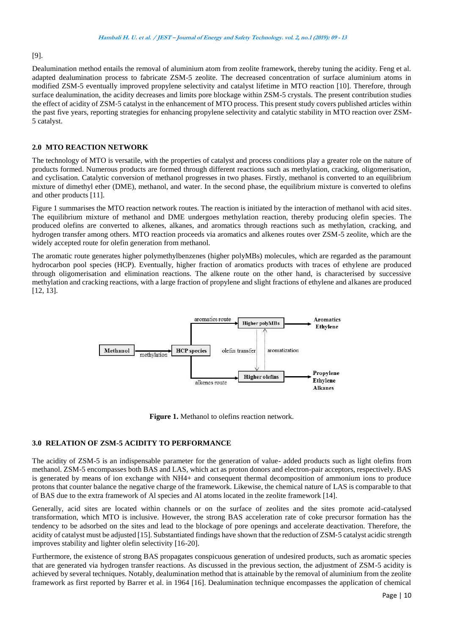# [9].

Dealumination method entails the removal of aluminium atom from zeolite framework, thereby tuning the acidity. Feng et al. adapted dealumination process to fabricate ZSM-5 zeolite. The decreased concentration of surface aluminium atoms in modified ZSM-5 eventually improved propylene selectivity and catalyst lifetime in MTO reaction [10]. Therefore, through surface dealumination, the acidity decreases and limits pore blockage within ZSM-5 crystals. The present contribution studies the effect of acidity of ZSM‐5 catalyst in the enhancement of MTO process. This present study covers published articles within the past five years, reporting strategies for enhancing propylene selectivity and catalytic stability in MTO reaction over ZSM-5 catalyst.

## **2.0 MTO REACTION NETWORK**

The technology of MTO is versatile, with the properties of catalyst and process conditions play a greater role on the nature of products formed. Numerous products are formed through different reactions such as methylation, cracking, oligomerisation, and cyclisation. Catalytic conversion of methanol progresses in two phases. Firstly, methanol is converted to an equilibrium mixture of dimethyl ether (DME), methanol, and water. In the second phase, the equilibrium mixture is converted to olefins and other products [11].

Figure 1 summarises the MTO reaction network routes. The reaction is initiated by the interaction of methanol with acid sites. The equilibrium mixture of methanol and DME undergoes methylation reaction, thereby producing olefin species. The produced olefins are converted to alkenes, alkanes, and aromatics through reactions such as methylation, cracking, and hydrogen transfer among others. MTO reaction proceeds via aromatics and alkenes routes over ZSM-5 zeolite, which are the widely accepted route for olefin generation from methanol.

The aromatic route generates higher polymethylbenzenes (higher polyMBs) molecules, which are regarded as the paramount hydrocarbon pool species (HCP). Eventually, higher fraction of aromatics products with traces of ethylene are produced through oligomerisation and elimination reactions. The alkene route on the other hand, is characterised by successive methylation and cracking reactions, with a large fraction of propylene and slight fractions of ethylene and alkanes are produced [12, 13].



**Figure 1.** Methanol to olefins reaction network.

## **3.0 RELATION OF ZSM-5 ACIDITY TO PERFORMANCE**

The acidity of ZSM-5 is an indispensable parameter for the generation of value- added products such as light olefins from methanol. ZSM-5 encompasses both BAS and LAS, which act as proton donors and electron-pair acceptors, respectively. BAS is generated by means of ion exchange with NH4+ and consequent thermal decomposition of ammonium ions to produce protons that counter balance the negative charge of the framework. Likewise, the chemical nature of LAS is comparable to that of BAS due to the extra framework of Al species and Al atoms located in the zeolite framework [14].

Generally, acid sites are located within channels or on the surface of zeolites and the sites promote acid-catalysed transformation, which MTO is inclusive. However, the strong BAS acceleration rate of coke precursor formation has the tendency to be adsorbed on the sites and lead to the blockage of pore openings and accelerate deactivation. Therefore, the acidity of catalyst must be adjusted [15]. Substantiated findings have shown that the reduction of ZSM‐5 catalyst acidic strength improves stability and lighter olefin selectivity [16-20].

Furthermore, the existence of strong BAS propagates conspicuous generation of undesired products, such as aromatic species that are generated via hydrogen transfer reactions. As discussed in the previous section, the adjustment of ZSM-5 acidity is achieved by several techniques. Notably, dealumination method that is attainable by the removal of aluminium from the zeolite framework as first reported by Barrer et al. in 1964 [16]. Dealumination technique encompasses the application of chemical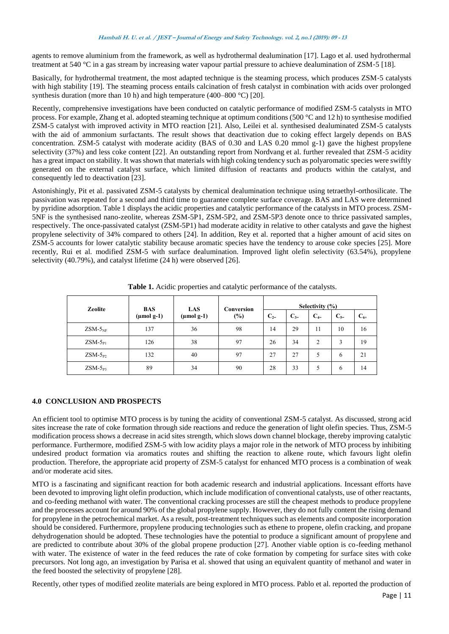agents to remove aluminium from the framework, as well as hydrothermal dealumination [17]. Lago et al. used hydrothermal treatment at 540 °C in a gas stream by increasing water vapour partial pressure to achieve dealumination of ZSM‐5 [18].

Basically, for hydrothermal treatment, the most adapted technique is the steaming process, which produces ZSM‐5 catalysts with high stability [19]. The steaming process entails calcination of fresh catalyst in combination with acids over prolonged synthesis duration (more than 10 h) and high temperature (400–800 °C) [20].

Recently, comprehensive investigations have been conducted on catalytic performance of modified ZSM‐5 catalysts in MTO process. For example, Zhang et al. adopted steaming technique at optimum conditions (500 °C and 12 h) to synthesise modified ZSM-5 catalyst with improved activity in MTO reaction [21]. Also, Leilei et al. synthesised dealuminated ZSM-5 catalysts with the aid of ammonium surfactants. The result shows that deactivation due to coking effect largely depends on BAS concentration. ZSM-5 catalyst with moderate acidity (BAS of 0.30 and LAS 0.20 mmol g-1) gave the highest propylene selectivity (37%) and less coke content [22]. An outstanding report from Nordvang et al. further revealed that ZSM-5 acidity has a great impact on stability. It was shown that materials with high coking tendency such as polyaromatic species were swiftly generated on the external catalyst surface, which limited diffusion of reactants and products within the catalyst, and consequently led to deactivation [23].

Astonishingly, Pit et al. passivated ZSM-5 catalysts by chemical dealumination technique using tetraethyl-orthosilicate. The passivation was repeated for a second and third time to guarantee complete surface coverage. BAS and LAS were determined by pyridine adsorption. Table 1 displays the acidic properties and catalytic performance of the catalysts in MTO process. ZSM-5NF is the synthesised nano-zeolite, whereas ZSM-5P1, ZSM-5P2, and ZSM-5P3 denote once to thrice passivated samples, respectively. The once-passivated catalyst (ZSM-5P1) had moderate acidity in relative to other catalysts and gave the highest propylene selectivity of 34% compared to others [24]. In addition, Rey et al. reported that a higher amount of acid sites on ZSM-5 accounts for lower catalytic stability because aromatic species have the tendency to arouse coke species [25]. More recently, Rui et al. modified ZSM-5 with surface dealumination. Improved light olefin selectivity (63.54%), propylene selectivity (40.79%), and catalyst lifetime (24 h) were observed [26].

| <b>Zeolite</b> | <b>BAS</b><br>$(\mu \text{mol g-1})$ | <b>LAS</b><br>$(\mu \text{mol g-1})$ | Conversion<br>(%) | Selectivity $(\% )$ |         |         |         |          |
|----------------|--------------------------------------|--------------------------------------|-------------------|---------------------|---------|---------|---------|----------|
|                |                                      |                                      |                   | $C_{2}$             | $C_{3}$ | $C_{4}$ | $C_{5}$ | $C_{6+}$ |
| $ZSM-5_{NF}$   | 137                                  | 36                                   | 98                | 14                  | 29      | 11      | 10      | 16       |
| $ZSM-5P1$      | 126                                  | 38                                   | 97                | 26                  | 34      | 2       | 3       | 19       |
| $ZSM-5P2$      | 132                                  | 40                                   | 97                | 27                  | 27      | 5       | 6       | 21       |
| $ZSM-5_{P3}$   | 89                                   | 34                                   | 90                | 28                  | 33      | 5       | 6       | 14       |

**Table 1.** Acidic properties and catalytic performance of the catalysts.

## **4.0 CONCLUSION AND PROSPECTS**

An efficient tool to optimise MTO process is by tuning the acidity of conventional ZSM-5 catalyst. As discussed, strong acid sites increase the rate of coke formation through side reactions and reduce the generation of light olefin species. Thus, ZSM-5 modification process shows a decrease in acid sites strength, which slows down channel blockage, thereby improving catalytic performance. Furthermore, modified ZSM-5 with low acidity plays a major role in the network of MTO process by inhibiting undesired product formation via aromatics routes and shifting the reaction to alkene route, which favours light olefin production. Therefore, the appropriate acid property of ZSM-5 catalyst for enhanced MTO process is a combination of weak and/or moderate acid sites.

MTO is a fascinating and significant reaction for both academic research and industrial applications. Incessant efforts have been devoted to improving light olefin production, which include modification of conventional catalysts, use of other reactants, and co-feeding methanol with water. The conventional cracking processes are still the cheapest methods to produce propylene and the processes account for around 90% of the global propylene supply. However, they do not fully content the rising demand for propylene in the petrochemical market. As a result, post-treatment techniques such as elements and composite incorporation should be considered. Furthermore, propylene producing technologies such as ethene to propene, olefin cracking, and propane dehydrogenation should be adopted. These technologies have the potential to produce a significant amount of propylene and are predicted to contribute about 30% of the global propene production [27]. Another viable option is co-feeding methanol with water. The existence of water in the feed reduces the rate of coke formation by competing for surface sites with coke precursors. Not long ago, an investigation by Parisa et al. showed that using an equivalent quantity of methanol and water in the feed boosted the selectivity of propylene [28].

Recently, other types of modified zeolite materials are being explored in MTO process. Pablo et al. reported the production of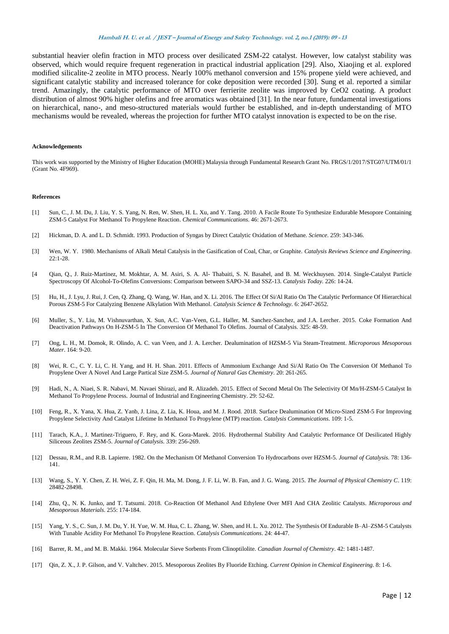#### **Hambali H. U. et al. / JEST – Journal of Energy and Safety Technology. vol. 2, no.1 (2019): <sup>09</sup> -13**

substantial heavier olefin fraction in MTO process over desilicated ZSM-22 catalyst. However, low catalyst stability was observed, which would require frequent regeneration in practical industrial application [29]. Also, Xiaojing et al. explored modified silicalite-2 zeolite in MTO process. Nearly 100% methanol conversion and 15% propene yield were achieved, and significant catalytic stability and increased tolerance for coke deposition were recorded [30]. Sung et al. reported a similar trend. Amazingly, the catalytic performance of MTO over ferrierite zeolite was improved by CeO2 coating. A product distribution of almost 90% higher olefins and free aromatics was obtained [31]. In the near future, fundamental investigations on hierarchical, nano-, and meso-structured materials would further be established, and in-depth understanding of MTO mechanisms would be revealed, whereas the projection for further MTO catalyst innovation is expected to be on the rise.

#### **Acknowledgements**

This work was supported by the Ministry of Higher Education (MOHE) Malaysia through Fundamental Research Grant No. FRGS/1/2017/STG07/UTM/01/1 (Grant No. 4F969).

#### **References**

- [1] Sun, C., J. M. Du, J. Liu, Y. S. Yang, N. Ren, W. Shen, H. L. Xu, and Y. Tang. 2010. A Facile Route To Synthesize Endurable Mesopore Containing ZSM-5 Catalyst For Methanol To Propylene Reaction. *Chemical Communications*. 46: 2671-2673.
- [2] Hickman, D. A. and L. D. Schmidt. 1993. Production of Syngas by Direct Catalytic Oxidation of Methane. *Science*. 259: 343-346.
- [3] Wen, W. Y. 1980. Mechanisms of Alkali Metal Catalysis in the Gasification of Coal, Char, or Graphite. *Catalysis Reviews Science and Engineering*. 22:1-28.
- [4 Qian, Q., J. Ruiz-Martinez, M. Mokhtar, A. M. Asiri, S. A. Al- Thabaiti, S. N. Basahel, and B. M. Weckhuysen. 2014. Single-Catalyst Particle Spectroscopy Of Alcohol-To-Olefins Conversions: Comparison between SAPO-34 and SSZ-13. *Catalysis Today.* 226: 14-24.
- [5] Hu, H., J. Lyu, J. Rui, J. Cen, Q. Zhang, Q. Wang, W. Han, and X. Li. 2016. The Effect Of Si/Al Ratio On The Catalytic Performance Of Hierarchical Porous ZSM-5 For Catalyzing Benzene Alkylation With Methanol. *Catalysis Science & Technology.* 6: 2647-2652.
- [6] Muller, S., Y. Liu, M. Vishnuvarthan, X. Sun, A.C. Van-Veen, G.L. Haller, M. Sanchez-Sanchez, and J.A. Lercher. 2015. Coke Formation And Deactivation Pathways On H-ZSM-5 In The Conversion Of Methanol To Olefins. Journal of Catalysis*.* 325: 48-59.
- [7] Ong, L. H., M. Domok, R. Olindo, A. C. van Veen, and J. A. Lercher*.* Dealumination of HZSM-5 Via Steam-Treatment. *Microporous Mesoporous Mater*. 164: 9-20.
- [8] Wei, R. C., C. Y. Li, C. H. Yang, and H. H. Shan. 2011. Effects of Ammonium Exchange And Si/Al Ratio On The Conversion Of Methanol To Propylene Over A Novel And Large Partical Size ZSM-5. *Journal of Natural Gas Chemistry.* 20: 261-265.
- [9] Hadi, N., A. Niaei, S. R. Nabavi, M. Navaei Shirazi, and R. Alizadeh. 2015. Effect of Second Metal On The Selectivity Of Mn/H-ZSM-5 Catalyst In Methanol To Propylene Process. Journal of Industrial and Engineering Chemistry. 29: 52-62.
- [10] Feng, R., X. Yana, X. Hua, Z. Yanb, J. Lina, Z. Lia, K. Houa, and M. J. Rood. 2018. Surface Dealumination Of Micro-Sized ZSM-5 For Improving Propylene Selectivity And Catalyst Lifetime In Methanol To Propylene (MTP) reaction. *Catalysis Communications*. 109: 1-5.
- [11] Tarach, K.A., J. Martinez-Triguero, F. Rey, and K. Gora-Marek. 2016. Hydrothermal Stability And Catalytic Performance Of Desilicated Highly Siliceous Zeolites ZSM-5. *Journal of Catalysis.* 339: 256-269.
- [12] Dessau, R.M., and R.B. Lapierre. 1982. On the Mechanism Of Methanol Conversion To Hydrocarbons over HZSM-5. *Journal of Catalysis.* 78: 136- 141.
- [13] Wang, S., Y. Y. Chen, Z. H. Wei, Z. F. Qin, H. Ma, M. Dong, J. F. Li, W. B. Fan, and J. G. Wang. 2015. *The Journal of Physical Chemistry C*. 119: 28482-28498.
- [14] Zhu, Q., N. K. Junko, and T. Tatsumi. 2018. Co-Reaction Of Methanol And Ethylene Over MFI And CHA Zeolitic Catalysts. *Microporous and Mesoporous Materials*. 255: 174-184.
- [15] Yang, Y. S., C. Sun, J. M. Du, Y. H. Yue, W. M. Hua, C. L. Zhang, W. Shen, and H. L. Xu. 2012. The Synthesis Of Endurable B–Al–ZSM-5 Catalysts With Tunable Acidity For Methanol To Propylene Reaction. *Catalysis Communications*. 24: 44-47.
- [16] Barrer, R. M., and M. B. Makki. 1964. Molecular Sieve Sorbents From Clinoptilolite. *Canadian Journal of Chemistry*. 42: 1481-1487.
- [17] Qin, Z. X., J. P. Gilson, and V. Valtchev. 2015. Mesoporous Zeolites By Fluoride Etching. *Current Opinion in Chemical Engineering.* 8: 1-6.